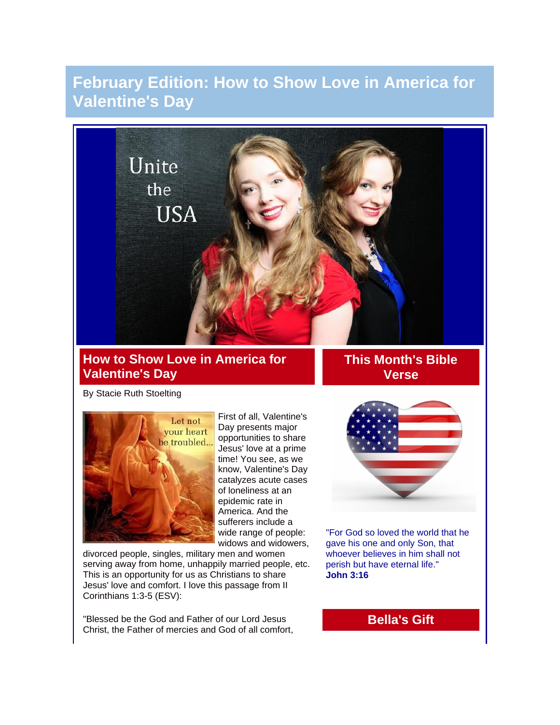# **February Edition: How to Show Love in America for Valentine's Day**



### **How to Show Love in America for Valentine's Day**

**This Month's Bible Verse**

By Stacie Ruth Stoelting



First of all, Valentine's Day presents major opportunities to share Jesus' love at a prime time! You see, as we know, Valentine's Day catalyzes acute cases of loneliness at an epidemic rate in America. And the sufferers include a wide range of people: widows and widowers,

divorced people, singles, military men and women serving away from home, unhappily married people, etc. This is an opportunity for us as Christians to share Jesus' love and comfort. I love this passage from II Corinthians 1:3-5 (ESV):

"Blessed be the God and Father of our Lord Jesus Christ, the Father of mercies and God of all comfort,



"For God so loved the world that he gave his one and only Son, that whoever believes in him shall not perish but have eternal life." **John 3:16**

**Bella's Gift**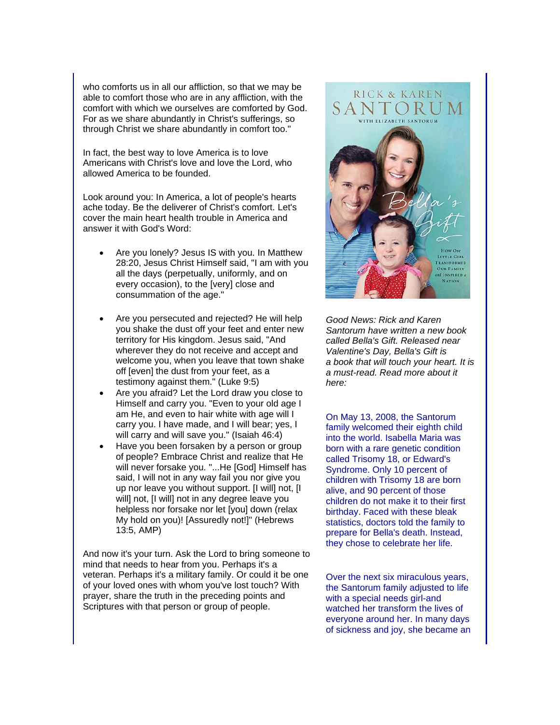who comforts us in all our affliction, so that we may be able to comfort those who are in any affliction, with the comfort with which we ourselves are comforted by God. For as we share abundantly in Christ's sufferings, so through Christ we share abundantly in comfort too."

In fact, the best way to love America is to love Americans with Christ's love and love the Lord, who allowed America to be founded.

Look around you: In America, a lot of people's hearts ache today. Be the deliverer of Christ's comfort. Let's cover the main heart health trouble in America and answer it with God's Word:

- Are you lonely? Jesus IS with you. In Matthew 28:20, Jesus Christ Himself said, "I am with you all the days (perpetually, uniformly, and on every occasion), to the [very] close and consummation of the age."
- Are you persecuted and rejected? He will help you shake the dust off your feet and enter new territory for His kingdom. Jesus said, "And wherever they do not receive and accept and welcome you, when you leave that town shake off [even] the dust from your feet, as a testimony against them." (Luke 9:5)
- Are you afraid? Let the Lord draw you close to Himself and carry you. "Even to your old age I am He, and even to hair white with age will I carry you. I have made, and I will bear; yes, I will carry and will save you." (Isaiah 46:4)
- Have you been forsaken by a person or group of people? Embrace Christ and realize that He will never forsake you. "...He [God] Himself has said, I will not in any way fail you nor give you up nor leave you without support. [I will] not, [I will] not, [I will] not in any degree leave you helpless nor forsake nor let [you] down (relax My hold on you)! [Assuredly not!]" (Hebrews 13:5, AMP)

And now it's your turn. Ask the Lord to bring someone to mind that needs to hear from you. Perhaps it's a veteran. Perhaps it's a military family. Or could it be one of your loved ones with whom you've lost touch? With prayer, share the truth in the preceding points and Scriptures with that person or group of people.



*Good News: Rick and Karen Santorum have written a new book called Bella's Gift. Released near Valentine's Day, Bella's Gift is a book that will touch your heart. It is a must-read. Read more about it here:*

On May 13, 2008, the Santorum family welcomed their eighth child into the world. Isabella Maria was born with a rare genetic condition called Trisomy 18, or Edward's Syndrome. Only 10 percent of children with Trisomy 18 are born alive, and 90 percent of those children do not make it to their first birthday. Faced with these bleak statistics, doctors told the family to prepare for Bella's death. Instead, they chose to celebrate her life.

Over the next six miraculous years, the Santorum family adjusted to life with a special needs girl-and watched her transform the lives of everyone around her. In many days of sickness and joy, she became an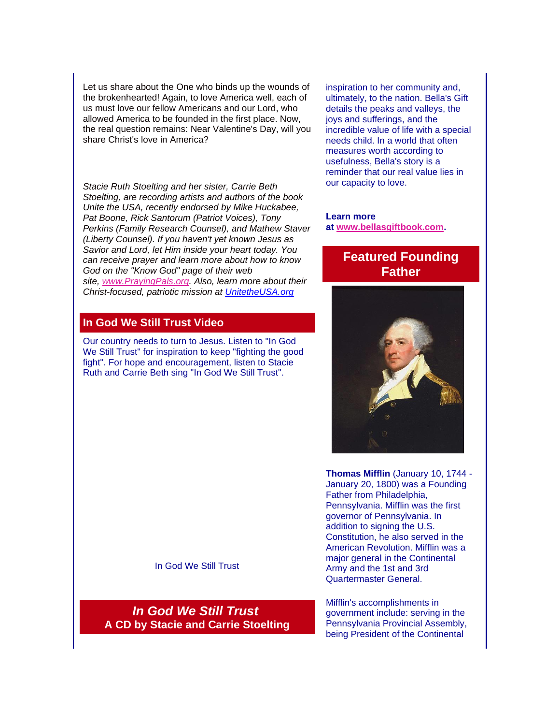Let us share about the One who binds up the wounds of the brokenhearted! Again, to love America well, each of us must love our fellow Americans and our Lord, who allowed America to be founded in the first place. Now, the real question remains: Near Valentine's Day, will you share Christ's love in America?

*Stacie Ruth Stoelting and her sister, Carrie Beth Stoelting, are recording artists and authors of the book Unite the USA, recently endorsed by Mike Huckabee, Pat Boone, Rick Santorum (Patriot Voices), Tony Perkins (Family Research Counsel), and Mathew Staver (Liberty Counsel). If you haven't yet known Jesus as Savior and Lord, let Him inside your heart today. You can receive prayer and learn more about how to know God on the "Know God" page of their web site, [www.PrayingPals.org.](http://www.prayingpals.org/) Also, learn more about their Christ-focused, patriotic mission at [UnitetheUSA.org](http://r20.rs6.net/tn.jsp?e=001oy7Avn_kky71iiXeTCRgJE5xpFksdlJXYurflXuga0R8FpB1Bb52OCsroI4Nd86L4aBU8PyC2Bwkxx9qW6CS8WDBwwupC38aaOYCxPg3T2Y=)*

#### **In God We Still Trust Video**

Our country needs to turn to Jesus. Listen to "In God We Still Trust" for inspiration to keep "fighting the good fight". For hope and encouragement, listen to Stacie Ruth and Carrie Beth sing "In God We Still Trust".

inspiration to her community and, ultimately, to the nation. Bella's Gift details the peaks and valleys, the joys and sufferings, and the incredible value of life with a special needs child. In a world that often measures worth according to usefulness, Bella's story is a reminder that our real value lies in our capacity to love.

**Learn more at [www.bellasgiftbook.com.](http://r20.rs6.net/tn.jsp?e=001oy7Avn_kky71iiXeTCRgJE5xpFksdlJXYurflXuga0R8FpB1Bb52OCsroI4Nd86L4aBU8PyC2BxnBdMkCrJdZtE0kwzfQEvyb5beCthlo0lFAF9uAH1iyA==)**

#### **Featured Founding Father**



**Thomas Mifflin** (January 10, 1744 - January 20, 1800) was a Founding Father from Philadelphia, Pennsylvania. Mifflin was the first governor of Pennsylvania. In addition to signing the U.S. Constitution, he also served in the American Revolution. Mifflin was a major general in the Continental Army and the 1st and 3rd Quartermaster General.

Mifflin's accomplishments in government include: serving in the Pennsylvania Provincial Assembly, being President of the Continental

In God We Still Trust

*In God We Still Trust* **A CD by Stacie and Carrie Stoelting**